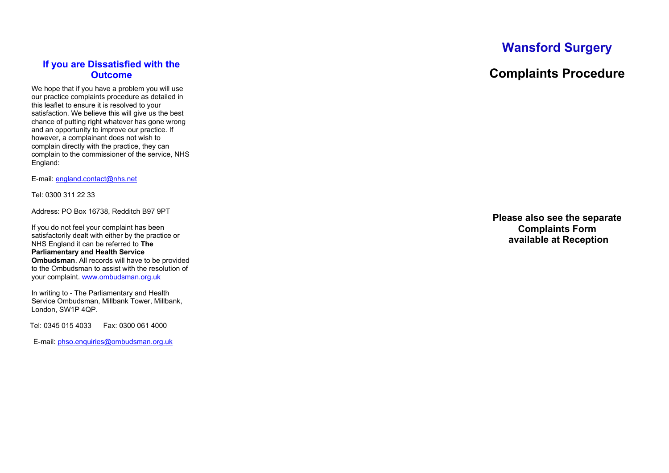### **If you are Dissatisfied with the Outcome**

We hope that if you have a problem you will use our practice complaints procedure as detailed in this leaflet to ensure it is resolved to your satisfaction. We believe this will give us the best chance of putting right whatever has gone wrong and an opportunity to improve our practice. If however, a complainant does not wish to complain directly with the practice, they can complain to the commissioner of the service, NHS England:

E-mail: [england.contact@nhs.net](mailto:england.contact@nhs.net)

Tel: 0300 311 22 33

Address: PO Box 16738, Redditch B97 9PT

If you do not feel your complaint has been satisfactorily dealt with either by the practice or NHS England it can be referred to **The Parliamentary and Health Service Ombudsman**. All records will have to be provided to the Ombudsman to assist with the resolution of your complaint. [www.ombudsman.org.uk](http://www.ombudsman.org.uk/)

In writing to - The Parliamentary and Health Service Ombudsman, Millbank Tower, Millbank, London, SW1P 4QP.

Tel: 0345 015 4033 Fax: 0300 061 4000

E-mail: [phso.enquiries@ombudsman.org.uk](mailto:phso.enquiries@ombudsman.org.uk)

# **Wansford Surgery**

## **Complaints Procedure**

**Please also see the separate Complaints Form available at Reception**